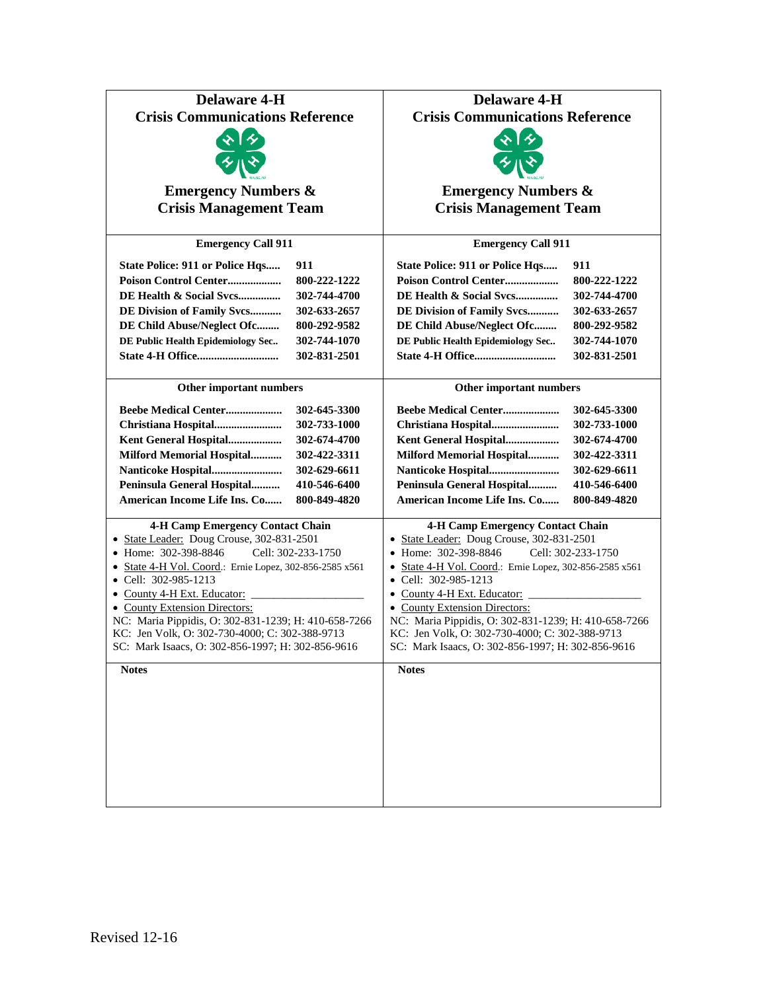| <b>Delaware 4-H</b>                                          | <b>Delaware 4-H</b>                                          |
|--------------------------------------------------------------|--------------------------------------------------------------|
| <b>Crisis Communications Reference</b>                       | <b>Crisis Communications Reference</b>                       |
|                                                              |                                                              |
|                                                              |                                                              |
|                                                              |                                                              |
| <b>Emergency Numbers &amp;</b>                               | <b>Emergency Numbers &amp;</b>                               |
| <b>Crisis Management Team</b>                                | <b>Crisis Management Team</b>                                |
| <b>Emergency Call 911</b>                                    | <b>Emergency Call 911</b>                                    |
| 911<br><b>State Police: 911 or Police Hqs</b>                | State Police: 911 or Police Hqs<br>911                       |
| 800-222-1222<br>Poison Control Center                        | Poison Control Center<br>800-222-1222                        |
| DE Health & Social Svcs<br>302-744-4700                      | DE Health & Social Svcs<br>302-744-4700                      |
| DE Division of Family Svcs<br>302-633-2657                   | DE Division of Family Svcs<br>302-633-2657                   |
| DE Child Abuse/Neglect Ofc<br>800-292-9582                   | DE Child Abuse/Neglect Ofc<br>800-292-9582                   |
| 302-744-1070<br>DE Public Health Epidemiology Sec            | DE Public Health Epidemiology Sec<br>302-744-1070            |
| 302-831-2501                                                 | 302-831-2501                                                 |
|                                                              |                                                              |
| Other important numbers                                      | Other important numbers                                      |
| Beebe Medical Center<br>302-645-3300                         | Beebe Medical Center<br>302-645-3300                         |
| Christiana Hospital<br>302-733-1000                          | Christiana Hospital<br>302-733-1000                          |
| Kent General Hospital<br>302-674-4700                        | Kent General Hospital<br>302-674-4700                        |
| Milford Memorial Hospital<br>302-422-3311                    | <b>Milford Memorial Hospital</b><br>302-422-3311             |
| Nanticoke Hospital<br>302-629-6611                           | Nanticoke Hospital<br>302-629-6611                           |
| Peninsula General Hospital<br>410-546-6400                   | Peninsula General Hospital<br>410-546-6400                   |
| American Income Life Ins. Co<br>800-849-4820                 | American Income Life Ins. Co<br>800-849-4820                 |
| <b>4-H Camp Emergency Contact Chain</b>                      | <b>4-H Camp Emergency Contact Chain</b>                      |
| • State Leader: Doug Crouse, 302-831-2501                    | • State Leader: Doug Crouse, 302-831-2501                    |
| • Home: 302-398-8846<br>Cell: 302-233-1750                   | • Home: 302-398-8846<br>Cell: 302-233-1750                   |
| • State 4-H Vol. Coord.: Ernie Lopez, 302-856-2585 x561      | • State 4-H Vol. Coord.: Ernie Lopez, 302-856-2585 x561      |
| • Cell: 302-985-1213                                         | $\bullet$ Cell: 302-985-1213                                 |
| • County 4-H Ext. Educator:<br>• County Extension Directors: | • County 4-H Ext. Educator:<br>• County Extension Directors: |
| NC: Maria Pippidis, O: 302-831-1239; H: 410-658-7266         | NC: Maria Pippidis, O: 302-831-1239; H: 410-658-7266         |
| KC: Jen Volk, O: 302-730-4000; C: 302-388-9713               | KC: Jen Volk, O: 302-730-4000; C: 302-388-9713               |
| SC: Mark Isaacs, O: 302-856-1997; H: 302-856-9616            | SC: Mark Isaacs, O: 302-856-1997; H: 302-856-9616            |
| <b>Notes</b>                                                 | <b>Notes</b>                                                 |
|                                                              |                                                              |
|                                                              |                                                              |
|                                                              |                                                              |
|                                                              |                                                              |
|                                                              |                                                              |
|                                                              |                                                              |
|                                                              |                                                              |
|                                                              |                                                              |
|                                                              |                                                              |